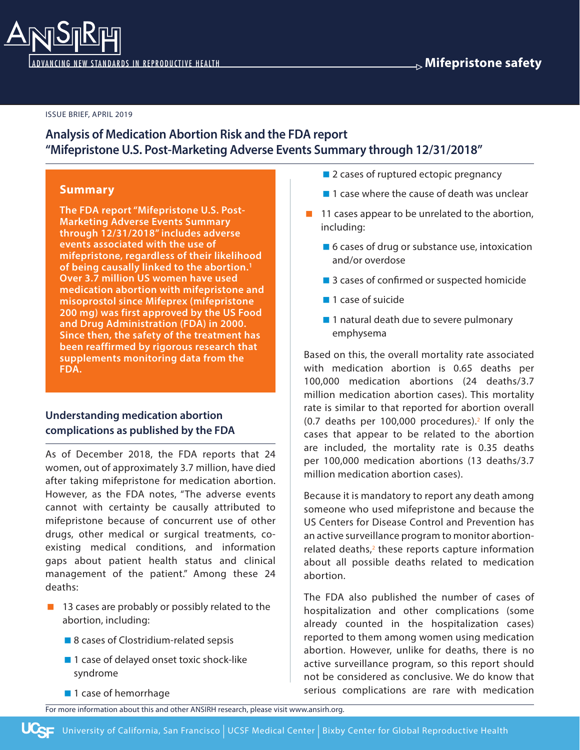

#### ISSUE BRIEF, APRIL 2019

# **Analysis of Medication Abortion Risk and the FDA report "Mifepristone U.S. Post-Marketing Adverse Events Summary through 12/31/2018"**

### **Summary**

**The FDA report "Mifepristone U.S. Post-Marketing Adverse Events Summary through 12/31/2018" includes adverse events associated with the use of mifepristone, regardless of their likelihood of being causally linked to the abortion.1 Over 3.7 million US women have used medication abortion with mifepristone and misoprostol since Mifeprex (mifepristone 200 mg) was first approved by the US Food and Drug Administration (FDA) in 2000. Since then, the safety of the treatment has been reaffirmed by rigorous research that supplements monitoring data from the FDA.** 

## **Understanding medication abortion complications as published by the FDA**

As of December 2018, the FDA reports that 24 women, out of approximately 3.7 million, have died after taking mifepristone for medication abortion. However, as the FDA notes, "The adverse events cannot with certainty be causally attributed to mifepristone because of concurrent use of other drugs, other medical or surgical treatments, coexisting medical conditions, and information gaps about patient health status and clinical management of the patient." Among these 24 deaths:

- **13 cases are probably or possibly related to the** abortion, including:
	- 8 cases of Clostridium-related sepsis
	- 1 case of delayed onset toxic shock-like syndrome
	- 1 case of hemorrhage
- 2 cases of ruptured ectopic pregnancy
- $\blacksquare$  1 case where the cause of death was unclear
- $\blacksquare$  11 cases appear to be unrelated to the abortion, including:
	- 6 cases of drug or substance use, intoxication and/or overdose
	- 3 cases of confirmed or suspected homicide
	- **1** Case of suicide
	- 1 natural death due to severe pulmonary emphysema

Based on this, the overall mortality rate associated with medication abortion is 0.65 deaths per 100,000 medication abortions (24 deaths/3.7 million medication abortion cases). This mortality rate is similar to that reported for abortion overall (0.7 deaths per 100,000 procedures).<sup>2</sup> If only the cases that appear to be related to the abortion are included, the mortality rate is 0.35 deaths per 100,000 medication abortions (13 deaths/3.7 million medication abortion cases).

Because it is mandatory to report any death among someone who used mifepristone and because the US Centers for Disease Control and Prevention has an active surveillance program to monitor abortionrelated deaths, $2$  these reports capture information about all possible deaths related to medication abortion.

The FDA also published the number of cases of hospitalization and other complications (some already counted in the hospitalization cases) reported to them among women using medication abortion. However, unlike for deaths, there is no active surveillance program, so this report should not be considered as conclusive. We do know that serious complications are rare with medication

For more information about this and other ANSIRH research, please visit www.ansirh.org.